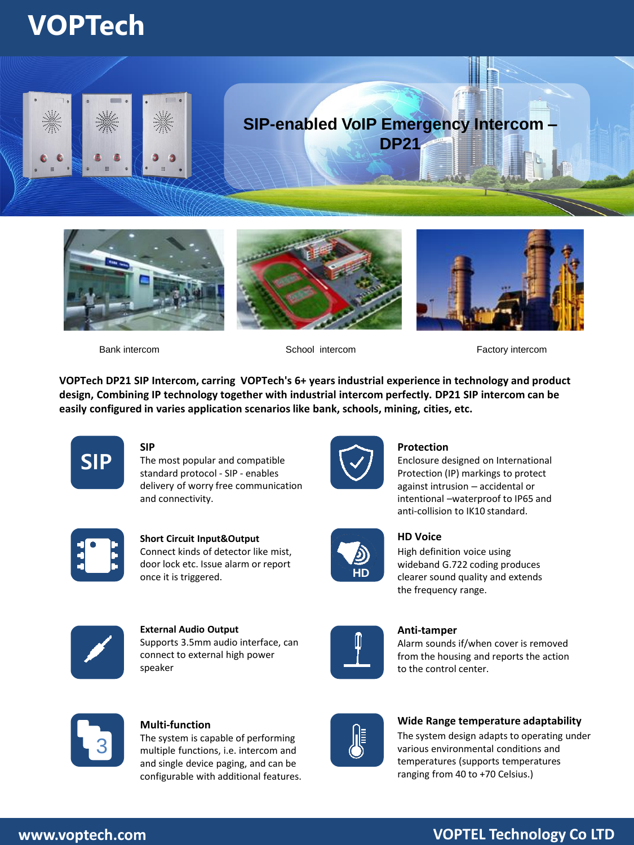## **VOPTech**









Bank intercom School intercom Factory intercom

**VOPTech DP21 SIP Intercom, carring VOPTech's 6+ years industrial experience in technology and product design, Combining IP technology together with industrial intercom perfectly. DP21 SIP intercom can be easily configured in varies application scenarios like bank, schools, mining, cities, etc.**



**SIP** The most popular and compatible standard protocol - SIP - enables delivery of worry free communication and connectivity.



#### **Protection**

Enclosure designed on International Protection (IP) markings to protect against intrusion – accidental or intentional –waterproof to IP65 and anti-collision to IK10 standard.



**Short Circuit Input&Output** Connect kinds of detector like mist, door lock etc. Issue alarm or report once it is triggered.



**HD**

## **HD Voice**

High definition voice using wideband G.722 coding produces clearer sound quality and extends the frequency range.



**External Audio Output** Supports 3.5mm audio interface, can connect to external high power speaker



**Anti-tamper** 

Alarm sounds if/when cover is removed from the housing and reports the action to the control center.



**Multi-function** 

The system is capable of performing multiple functions, i.e. intercom and and single device paging, and can be configurable with additional features.



**Wide Range temperature adaptability**

The system design adapts to operating under various environmental conditions and temperatures (supports temperatures ranging from 40 to +70 Celsius.)